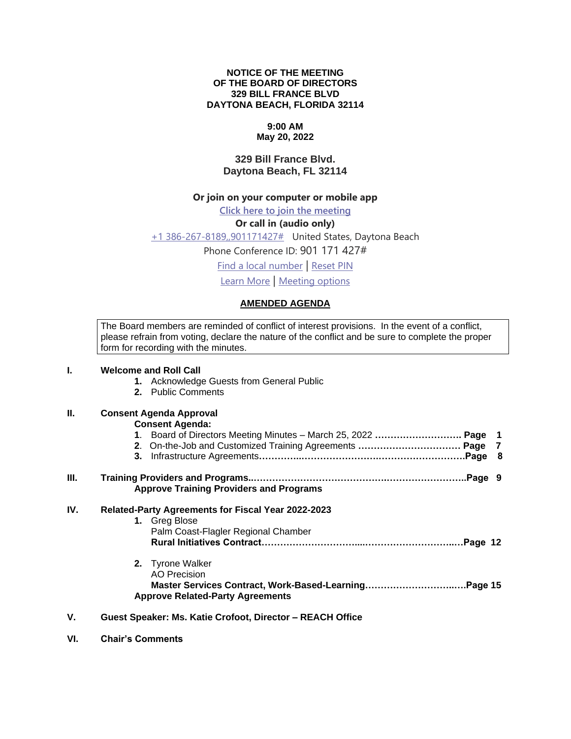#### **NOTICE OF THE MEETING OF THE BOARD OF DIRECTORS 329 BILL FRANCE BLVD DAYTONA BEACH, FLORIDA 32114**

## **9:00 AM**

#### **May 20, 2022**

#### **329 Bill France Blvd. Daytona Beach, FL 32114**

#### **Or join on your computer or mobile app**

**[Click here to join the meeting](https://teams.microsoft.com/l/meetup-join/19%3ameeting_NzFlODI2ZjktMmUzMy00Y2EyLTgxNmYtZmUzOWVmMjE4MWIw%40thread.v2/0?context=%7b%22Tid%22%3a%22703cdf20-1c9c-4e1a-b125-6692f22d8b2b%22%2c%22Oid%22%3a%22c342d8c4-f205-4d1a-bc1a-5b49e430dd76%22%7d)**

#### **Or call in (audio only)**

[+1 386-267-8189,,901171427#](tel:+13862678189,,901171427# ) United States, Daytona Beach

Phone Conference ID: 901 171 427#

[Find a local number](https://dialin.teams.microsoft.com/9c696f14-a4b8-4aed-abeb-69578c5b61fe?id=901171427) | [Reset PIN](https://mysettings.lync.com/pstnconferencing)

[Learn More](https://aka.ms/JoinTeamsMeeting) | [Meeting options](https://teams.microsoft.com/meetingOptions/?organizerId=c342d8c4-f205-4d1a-bc1a-5b49e430dd76&tenantId=703cdf20-1c9c-4e1a-b125-6692f22d8b2b&threadId=19_meeting_NzFlODI2ZjktMmUzMy00Y2EyLTgxNmYtZmUzOWVmMjE4MWIw@thread.v2&messageId=0&language=en-US)

#### **AMENDED AGENDA**

The Board members are reminded of conflict of interest provisions. In the event of a conflict, please refrain from voting, declare the nature of the conflict and be sure to complete the proper form for recording with the minutes.

# **I. Welcome and Roll Call 1.** Acknowledge Guests from General Public **2.** Public Comments

### **II. Consent Agenda Approval**

#### **Consent Agenda:**

| III. | <b>Approve Training Providers and Programs</b> |  |
|------|------------------------------------------------|--|
| . .  |                                                |  |

### **IV. Related-Party Agreements for Fiscal Year 2022-2023**

| 1. Greg Blose                       |  |
|-------------------------------------|--|
| Palm Coast-Flagler Regional Chamber |  |
|                                     |  |
|                                     |  |

- **2.** Tyrone Walker AO Precision **Master Services Contract, Work-Based-Learning………………………..….Page 15 Approve Related-Party Agreements**
- **V. Guest Speaker: Ms. Katie Crofoot, Director – REACH Office**
- **VI. Chair's Comments**